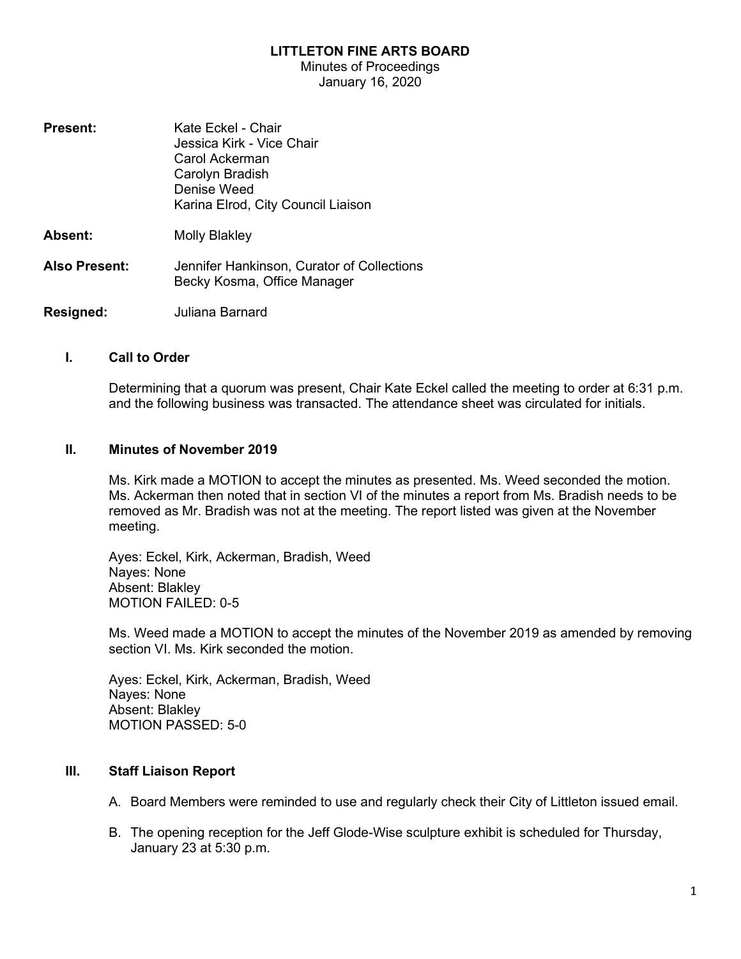### LITTLETON FINE ARTS BOARD

Minutes of Proceedings January 16, 2020

**Present:** Kate Eckel - Chair Jessica Kirk - Vice Chair Carol Ackerman Carolyn Bradish Denise Weed Karina Elrod, City Council Liaison Absent: Molly Blakley Also Present: Jennifer Hankinson, Curator of Collections Becky Kosma, Office Manager Resigned: **Juliana Barnard** 

#### I. Call to Order

Determining that a quorum was present, Chair Kate Eckel called the meeting to order at 6:31 p.m. and the following business was transacted. The attendance sheet was circulated for initials.

#### II. Minutes of November 2019

Ms. Kirk made a MOTION to accept the minutes as presented. Ms. Weed seconded the motion. Ms. Ackerman then noted that in section VI of the minutes a report from Ms. Bradish needs to be removed as Mr. Bradish was not at the meeting. The report listed was given at the November meeting.

Ayes: Eckel, Kirk, Ackerman, Bradish, Weed Nayes: None Absent: Blakley MOTION FAILED: 0-5

Ms. Weed made a MOTION to accept the minutes of the November 2019 as amended by removing section VI. Ms. Kirk seconded the motion.

Ayes: Eckel, Kirk, Ackerman, Bradish, Weed Nayes: None Absent: Blakley MOTION PASSED: 5-0

#### III. Staff Liaison Report

- A. Board Members were reminded to use and regularly check their City of Littleton issued email.
- B. The opening reception for the Jeff Glode-Wise sculpture exhibit is scheduled for Thursday, January 23 at 5:30 p.m.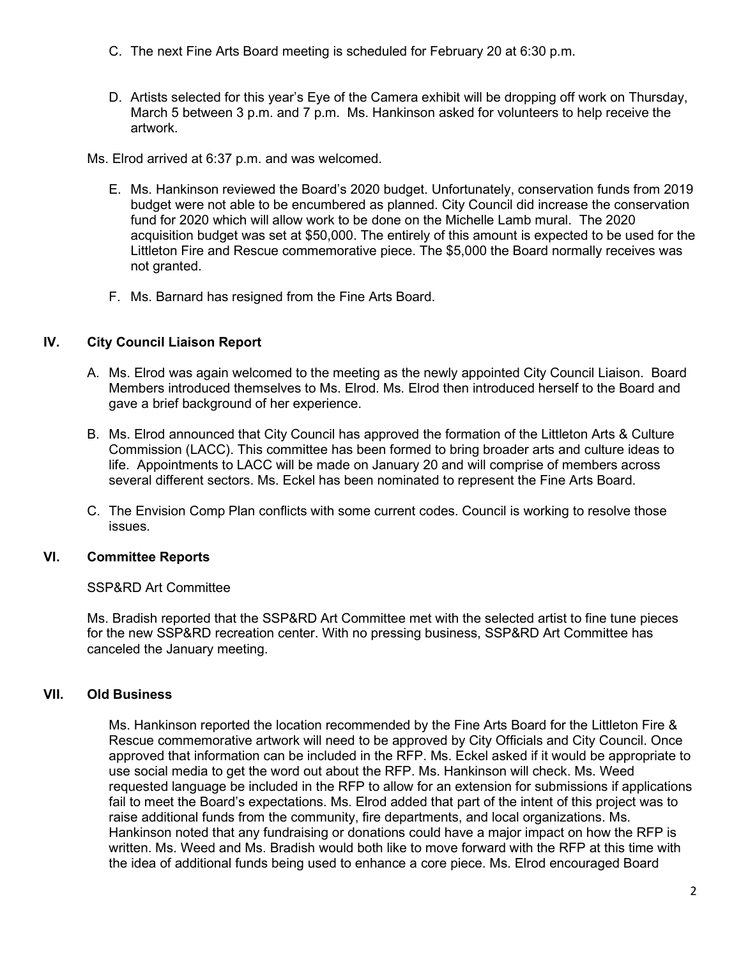- C. The next Fine Arts Board meeting is scheduled for February 20 at 6:30 p.m.
- D. Artists selected for this year's Eye of the Camera exhibit will be dropping off work on Thursday, March 5 between 3 p.m. and 7 p.m. Ms. Hankinson asked for volunteers to help receive the artwork.

Ms. Elrod arrived at 6:37 p.m. and was welcomed.

- E. Ms. Hankinson reviewed the Board's 2020 budget. Unfortunately, conservation funds from 2019 budget were not able to be encumbered as planned. City Council did increase the conservation fund for 2020 which will allow work to be done on the Michelle Lamb mural. The 2020 acquisition budget was set at \$50,000. The entirely of this amount is expected to be used for the Littleton Fire and Rescue commemorative piece. The \$5,000 the Board normally receives was not granted.
- F. Ms. Barnard has resigned from the Fine Arts Board.

# IV. City Council Liaison Report

- A. Ms. Elrod was again welcomed to the meeting as the newly appointed City Council Liaison. Board Members introduced themselves to Ms. Elrod. Ms. Elrod then introduced herself to the Board and gave a brief background of her experience.
- B. Ms. Elrod announced that City Council has approved the formation of the Littleton Arts & Culture Commission (LACC). This committee has been formed to bring broader arts and culture ideas to life. Appointments to LACC will be made on January 20 and will comprise of members across several different sectors. Ms. Eckel has been nominated to represent the Fine Arts Board.
- C. The Envision Comp Plan conflicts with some current codes. Council is working to resolve those issues.

# VI. Committee Reports

SSP&RD Art Committee

Ms. Bradish reported that the SSP&RD Art Committee met with the selected artist to fine tune pieces for the new SSP&RD recreation center. With no pressing business, SSP&RD Art Committee has canceled the January meeting.

# VII. Old Business

Ms. Hankinson reported the location recommended by the Fine Arts Board for the Littleton Fire & Rescue commemorative artwork will need to be approved by City Officials and City Council. Once approved that information can be included in the RFP. Ms. Eckel asked if it would be appropriate to use social media to get the word out about the RFP. Ms. Hankinson will check. Ms. Weed requested language be included in the RFP to allow for an extension for submissions if applications fail to meet the Board's expectations. Ms. Elrod added that part of the intent of this project was to raise additional funds from the community, fire departments, and local organizations. Ms. Hankinson noted that any fundraising or donations could have a major impact on how the RFP is written. Ms. Weed and Ms. Bradish would both like to move forward with the RFP at this time with the idea of additional funds being used to enhance a core piece. Ms. Elrod encouraged Board